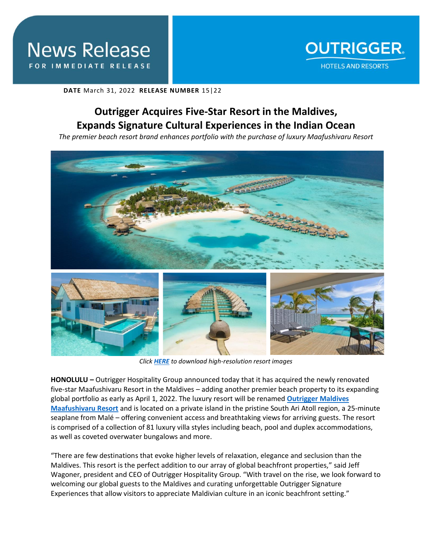

**DATE** March 31, 2022 **RELEASE NUMBER** 15|22

## **Outrigger Acquires Five-Star Resort in the Maldives, Expands Signature Cultural Experiences in the Indian Ocean**

*The premier beach resort brand enhances portfolio with the purchase of luxury Maafushivaru Resort* 



*Click [HERE](https://app.box.com/s/96s0mu017d8l2rhj0wlu7v39dqbco28i) to download high-resolution resort images*

**HONOLULU –** Outrigger Hospitality Group announced today that it has acquired the newly renovated five-star Maafushivaru Resort in the Maldives – adding another premier beach property to its expanding global portfolio as early as April 1, 2022. The luxury resort will be renamed **[Outrigger Maldives](https://www.outrigger.com/hotels-resorts/maldives/outrigger-maldives-maafushivaru-resort)  [Maafushivaru Resort](https://www.outrigger.com/hotels-resorts/maldives/outrigger-maldives-maafushivaru-resort)** and is located on a private island in the pristine South Ari Atoll region, a 25-minute seaplane from Malé – offering convenient access and breathtaking views for arriving guests. The resort is comprised of a collection of 81 luxury villa styles including beach, pool and duplex accommodations, as well as coveted overwater bungalows and more.

"There are few destinations that evoke higher levels of relaxation, elegance and seclusion than the Maldives. This resort is the perfect addition to our array of global beachfront properties," said Jeff Wagoner, president and CEO of Outrigger Hospitality Group. "With travel on the rise, we look forward to welcoming our global guests to the Maldives and curating unforgettable Outrigger Signature Experiences that allow visitors to appreciate Maldivian culture in an iconic beachfront setting."